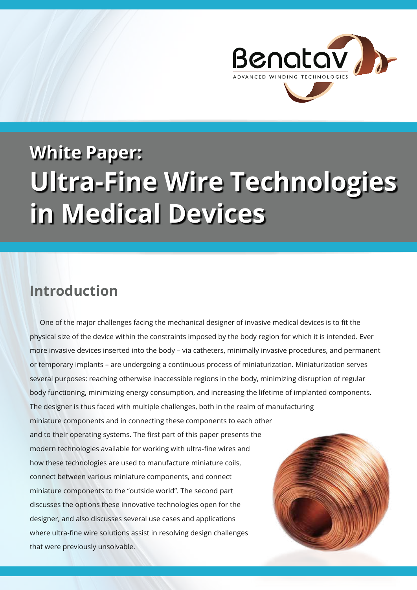

# **White Paper: Ultra-Fine Wire Technologies in Medical Devices**

### **Introduction**

One of the major challenges facing the mechanical designer of invasive medical devices is to fit the physical size of the device within the constraints imposed by the body region for which it is intended. Ever more invasive devices inserted into the body – via catheters, minimally invasive procedures, and permanent or temporary implants - are undergoing a continuous process of miniaturization. Miniaturization serves several purposes: reaching otherwise inaccessible regions in the body, minimizing disruption of regular body functioning, minimizing energy consumption, and increasing the lifetime of implanted components. The designer is thus faced with multiple challenges, both in the realm of manufacturing miniature components and in connecting these components to each other and to their operating systems. The first part of this paper presents the modern technologies available for working with ultra-fine wires and how these technologies are used to manufacture miniature coils, connect between various miniature components, and connect miniature components to the "outside world". The second part discusses the options these innovative technologies open for the designer, and also discusses several use cases and applications where ultra-fine wire solutions assist in resolving design challenges that were previously unsolvable.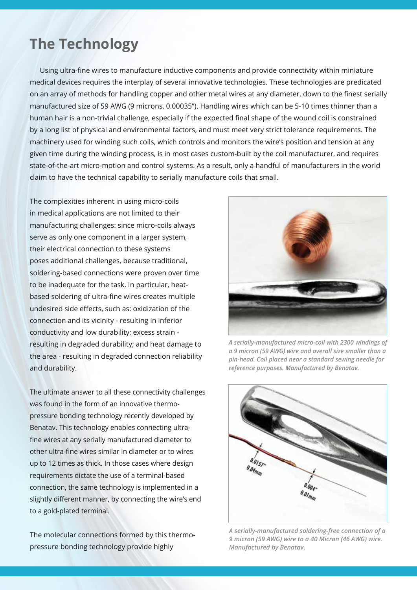#### **The Technology**

Using ultra-fine wires to manufacture inductive components and provide connectivity within miniature medical devices requires the interplay of several innovative technologies. These technologies are predicated on an array of methods for handling copper and other metal wires at any diameter, down to the finest serially manufactured size of 59 AWG (9 microns, 0.00035"). Handling wires which can be 5-10 times thinner than a human hair is a non-trivial challenge, especially if the expected final shape of the wound coil is constrained by a long list of physical and environmental factors, and must meet very strict tolerance requirements. The machinery used for winding such coils, which controls and monitors the wire's position and tension at any given time during the winding process, is in most cases custom-built by the coil manufacturer, and requires state-of-the-art micro-motion and control systems. As a result, only a handful of manufacturers in the world claim to have the technical capability to serially manufacture coils that small.

The complexities inherent in using micro-coils in medical applications are not limited to their manufacturing challenges: since micro-coils always serve as only one component in a larger system, their electrical connection to these systems poses additional challenges, because traditional, soldering-based connections were proven over time based soldering of ultra-fine wires creates multiple to be inadequate for the task. In particular, heatundesired side effects, such as: oxidization of the connection and its vicinity - resulting in inferior resulting in degraded durability; and heat damage to conductivity and low durability; excess strain the area - resulting in degraded connection reliability and durability.

The ultimate answer to all these connectivity challenges pressure bonding technology recently developed by was found in the form of an innovative thermofine wires at any serially manufactured diameter to Benatav. This technology enables connecting ultraother ultra-fine wires similar in diameter or to wires up to 12 times as thick. In those cases where design requirements dictate the use of a terminal-based connection, the same technology is implemented in a slightly different manner, by connecting the wire's end to a gold-plated terminal.

pressure bonding technology provide highly The molecular connections formed by this thermo-



A serially-manufactured micro-coil with 2300 windings of a 9 micron (59 AWG) wire and overall size smaller than a pin-head. Coil placed near a standard sewing needle for reference purposes. Manufactured by Benatav.



A serially-manufactured soldering-free connection of a 9 micron (59 AWG) wire to a 40 Micron (46 AWG) wire. .*Benatav by Manufactured*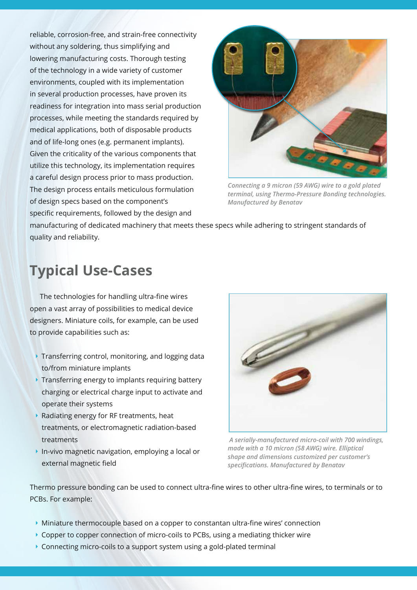reliable, corrosion-free, and strain-free connectivity without any soldering, thus simplifying and lowering manufacturing costs. Thorough testing of the technology in a wide variety of customer environments, coupled with its implementation in several production processes, have proven its readiness for integration into mass serial production processes, while meeting the standards required by medical applications, both of disposable products and of life-long ones (e.g. permanent implants). Given the criticality of the various components that utilize this technology, its implementation requires a careful design process prior to mass production. The design process entails meticulous formulation of design specs based on the component's specific requirements, followed by the design and



*Connecting a 9 micron (59 AWG) wire to a gold plated* terminal, using Thermo-Pressure Bonding technologies. **Manufactured by Benatav** 

manufacturing of dedicated machinery that meets these specs while adhering to stringent standards of quality and reliability.

# **Typical Use-Cases**

The technologies for handling ultra-fine wires open a vast array of possibilities to medical device designers. Miniature coils, for example, can be used to provide capabilities such as:

- $\blacktriangleright$  Transferring control, monitoring, and logging data to/from miniature implants
- $\triangleright$  Transferring energy to implants requiring battery charging or electrical charge input to activate and operate their systems
- $\blacktriangleright$  Radiating energy for RF treatments, heat treatments, or electromagnetic radiation-based treatments
- $\triangleright$  In-vivo magnetic navigation, employing a local or external magnetic field



A serially-manufactured micro-coil with 700 windings, made with a 10 micron (58 AWG) wire. Elliptical shape and dimensions customized per customer's specifications. Manufactured by Benatav

Thermo pressure bonding can be used to connect ultra-fine wires to other ultra-fine wires, to terminals or to PCBs. For example:

- $\blacktriangleright$  Miniature thermocouple based on a copper to constantan ultra-fine wires' connection
- $\triangleright$  Copper to copper connection of micro-coils to PCBs, using a mediating thicker wire
- $\triangleright$  Connecting micro-coils to a support system using a gold-plated terminal